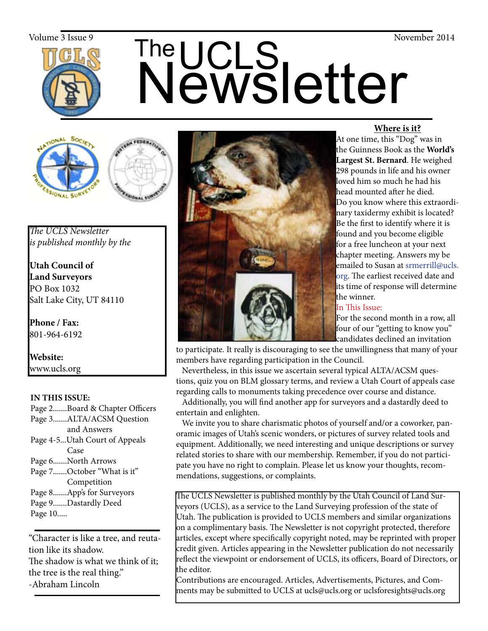

# The UCLS<br>Newsletter Volume 3 Issue 9<br>
The  $\prod_{\alpha}$  The  $\prod_{\alpha}$  S





*The UCLS Newsletter is published monthly by the*

**Utah Council of Land Surveyors** PO Box 1032 Salt Lake City, UT 84110

**Phone / Fax:**  801-964-6192

**Website:** www.ucls.org

## **IN THIS ISSUE:**

- Page 2.......Board & Chapter Officers
- Page 3.......ALTA/ACSM Question and Answers
- Page 4-5...Utah Court of Appeals Case
- Page 6.......North Arrows
- Page 7.......October "What is it" Competition
- Page 8.......App's for Surveyors
- Page 9.......Dastardly Deed
- Page 10.....

"Character is like a tree, and reutation like its shadow. The shadow is what we think of it; the tree is the real thing." -Abraham Lincoln



## **Where is it?**

At one time, this "Dog" was in the Guinness Book as the **World's Largest St. Bernard**. He weighed 298 pounds in life and his owner loved him so much he had his head mounted after he died. Do you know where this extraordinary taxidermy exhibit is located? Be the first to identify where it is found and you become eligible for a free luncheon at your next chapter meeting. Answers my be emailed to Susan at srmerrill@ucls. org. The earliest received date and its time of response will determine the winner.

## In This Issue:

 For the second month in a row, all four of our "getting to know you" candidates declined an invitation

to participate. It really is discouraging to see the unwillingness that many of your members have regarding participation in the Council.

 Nevertheless, in this issue we ascertain several typical ALTA/ACSM questions, quiz you on BLM glossary terms, and review a Utah Court of appeals case regarding calls to monuments taking precedence over course and distance.

 Additionally, you will find another app for surveyors and a dastardly deed to entertain and enlighten.

 We invite you to share charismatic photos of yourself and/or a coworker, panoramic images of Utah's scenic wonders, or pictures of survey related tools and equipment. Additionally, we need interesting and unique descriptions or survey related stories to share with our membership. Remember, if you do not participate you have no right to complain. Please let us know your thoughts, recommendations, suggestions, or complaints.

The UCLS Newsletter is published monthly by the Utah Council of Land Surveyors (UCLS), as a service to the Land Surveying profession of the state of Utah. The publication is provided to UCLS members and similar organizations on a complimentary basis. The Newsletter is not copyright protected, therefore articles, except where specifically copyright noted, may be reprinted with proper credit given. Articles appearing in the Newsletter publication do not necessarily reflect the viewpoint or endorsement of UCLS, its officers, Board of Directors, or the editor.

Contributions are encouraged. Articles, Advertisements, Pictures, and Comments may be submitted to UCLS at ucls@ucls.org or uclsforesights@ucls.org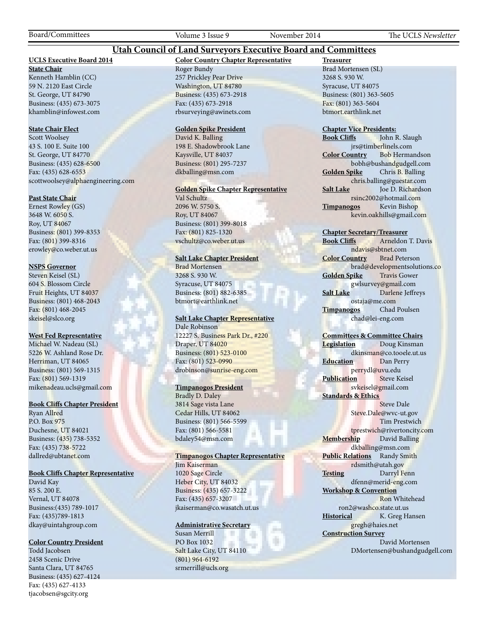## **Utah Council of Land Surveyors Executive Board and Committees**

## **UCLS Executive Board 2014**

**State Chair** Kenneth Hamblin (CC) 59 N. 2120 East Circle St. George, UT 84790 Business: (435) 673-3075 khamblin@infowest.com

#### **State Chair Elect**

Scott Woolsey 43 S. 100 E. Suite 100 St. George, UT 84770 Business: (435) 628-6500 Fax: (435) 628-6553 scottwoolsey@alphaengineering.com

#### **Past State Chair**

Ernest Rowley (GS) 3648 W. 6050 S. Roy, UT 84067 Business: (801) 399-8353 Fax: (801) 399-8316 erowley@co.weber.ut.us

#### **NSPS Governor**

Steven Keisel (SL) 604 S. Blossom Circle Fruit Heights, UT 84037 Business: (801) 468-2043 Fax: (801) 468-2045 skeisel@slco.org

#### **West Fed Representative**

Michael W. Nadeau (SL) 5226 W. Ashland Rose Dr. Herriman, UT 84065 Business: (801) 569-1315 Fax: (801) 569-1319 mikenadeau.ucls@gmail.com

#### **Book Cliffs Chapter President**

Ryan Allred P.O. Box 975 Duchesne, UT 84021 Business: (435) 738-5352 Fax: (435) 738-5722 dallred@ubtanet.com

## **Book Cliffs Chapter Representative**

David Kay 85 S. 200 E. Vernal, UT 84078 Business:(435) 789-1017 Fax: (435)789-1813 dkay@uintahgroup.com

#### **Color Country President**

Todd Jacobsen 2458 Scenic Drive Santa Clara, UT 84765 Business: (435) 627-4124 Fax: (435) 627-4133 tjacobsen@sgcity.org

#### **Color Country Chapter Representative** Roger Bundy 257 Prickley Pear Drive Washington, UT 84780 Business: (435) 673-2918 Fax: (435) 673-2918 rbsurveying@awinets.com

#### **Golden Spike President**

David K. Balling 198 E. Shadowbrook Lane Kaysville, UT 84037 Business: (801) 295-7237 dkballing@msn.com

#### **Golden Spike Chapter Representative**

Val Schultz 2096 W. 5750 S. Roy, UT 84067 Business: (801) 399-8018 Fax: (801) 825-1320 vschultz@co.weber.ut.us

#### **Salt Lake Chapter President**

Brad Mortensen 3268 S. 930 W. Syracuse, UT 84075 Business: (801) 882-6385 btmort@earthlink.net

#### **Salt Lake Chapter Representative** Dale Robinson

12227 S. Business Park Dr., #220 Draper, UT 84020 Business: (801) 523-0100 Fax: (801) 523-0990 drobinson@sunrise-eng.com

#### **Timpanogos President**

Bradly D. Daley 3814 Sage vista Lane Cedar Hills, UT 84062 Business: (801) 566-5599 Fax: (801) 566-5581 bdaley54@msn.com

#### **Timpanogos Chapter Representative**

Jim Kaiserman 1020 Sage Circle Heber City, UT 84032 Business: (435) 657-3222 Fax: (435) 657-3207 jkaiserman@co.wasatch.ut.us

#### **Administrative Secretary**

Susan Merrill PO Box 1032 Salt Lake City, UT 84110 (801) 964-6192 srmerrill@ucls.org

**Treasurer** Brad Mortensen (SL) 3268 S. 930 W. Syracuse, UT 84075 Business: (801) 363-5605 Fax: (801) 363-5604 btmort.earthlink.net

# **Chapter Vice Presidents:**

John R. Slaugh jrs@timberlinels.com **Color Country** Bob Hermandson bobh@bushandgudgell.com **Golden Spike** Chris B. Balling chris.balling@guestar.com **Salt Lake** Joe D. Richardson rsinc2002@hotmail.com **Timpanogos** Kevin Bishop kevin.oakhills@gmail.com

#### **Chapter Secretary/Treasurer**

**Book Cliffs** Arneldon T. Davis ndavis@sbtnet.com **Color Country** Brad Peterson brad@developmentsolutions.co **Golden Spike** Travis Gower gwlsurvey@gmail.com **Salt Lake** Darlene Jeffreys ostaja@me.com **Timpanogos** Chad Poulsen chad@lei-eng.com

#### **Committees & Committee Chairs**

**Legislation** Doug Kinsman dkinsman@co.tooele.ut.us **Education** Dan Perry perrydl@uvu.edu **Publication** Steve Keisel svkeisel@gmail.com **Standards & Ethics** Steve Dale Steve.Dale@wvc-ut.gov

 Tim Prestwich tprestwich@rivertoncity.com **Membership** David Balling dkballing@msn.com **Public Relations** Randy Smith rdsmith@utah.gov **Testing** Darryl Fenn dfenn@merid-eng.com

**Workshop & Convention** Ron Whitehead ron2@washco.state.ut.us **Historical** K. Greg Hansen gregh@haies.net **Construction Survey**

#### David Mortensen DMortensen@bushandgudgell.com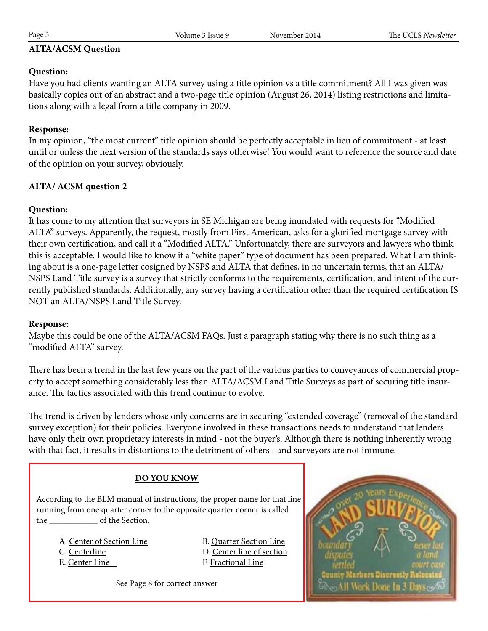## **ALTA/ACSM Question**

## **Question:**

Have you had clients wanting an ALTA survey using a title opinion vs a title commitment? All I was given was basically copies out of an abstract and a two-page title opinion (August 26, 2014) listing restrictions and limitations along with a legal from a title company in 2009.

## **Response:**

In my opinion, "the most current" title opinion should be perfectly acceptable in lieu of commitment - at least until or unless the next version of the standards says otherwise! You would want to reference the source and date of the opinion on your survey, obviously.

## **ALTA/ ACSM question 2**

## **Question:**

It has come to my attention that surveyors in SE Michigan are being inundated with requests for "Modified ALTA" surveys. Apparently, the request, mostly from First American, asks for a glorified mortgage survey with their own certification, and call it a "Modified ALTA." Unfortunately, there are surveyors and lawyers who think this is acceptable. I would like to know if a "white paper" type of document has been prepared. What I am thinking about is a one-page letter cosigned by NSPS and ALTA that defines, in no uncertain terms, that an ALTA/ NSPS Land Title survey is a survey that strictly conforms to the requirements, certification, and intent of the currently published standards. Additionally, any survey having a certification other than the required certification IS NOT an ALTA/NSPS Land Title Survey.

## **Response:**

Maybe this could be one of the ALTA/ACSM FAQs. Just a paragraph stating why there is no such thing as a "modified ALTA" survey.

There has been a trend in the last few years on the part of the various parties to conveyances of commercial property to accept something considerably less than ALTA/ACSM Land Title Surveys as part of securing title insurance. The tactics associated with this trend continue to evolve.

The trend is driven by lenders whose only concerns are in securing "extended coverage" (removal of the standard survey exception) for their policies. Everyone involved in these transactions needs to understand that lenders have only their own proprietary interests in mind - not the buyer's. Although there is nothing inherently wrong with that fact, it results in distortions to the detriment of others - and surveyors are not immune.

## **DO YOU KNOW**

 According to the BLM manual of instructions, the proper name for that line running from one quarter corner to the opposite quarter corner is called the \_\_\_\_\_\_\_\_\_\_\_ of the Section.

A. Center of Section Line B. Quarter Section Line C. Centerline D. Center line of section E. Center Line F. Fractional Line

See Page 8 for correct answer

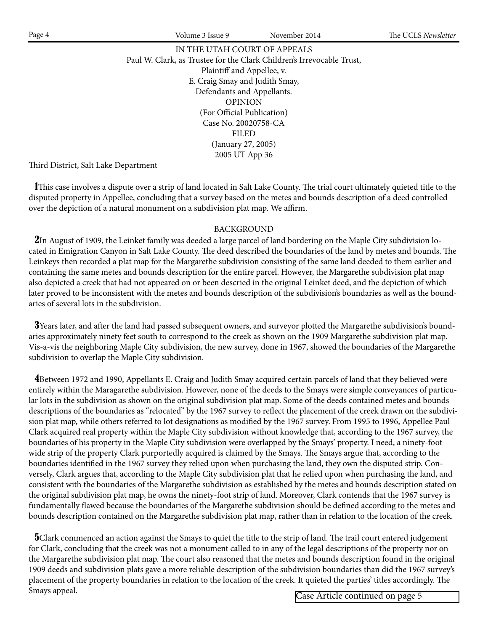IN THE UTAH COURT OF APPEALS Paul W. Clark, as Trustee for the Clark Children's Irrevocable Trust, Plaintiff and Appellee, v. E. Craig Smay and Judith Smay, Defendants and Appellants. OPINION (For Official Publication) Case No. 20020758-CA FILED (January 27, 2005) 2005 UT App 36

Third District, Salt Lake Department

 1This case involves a dispute over a strip of land located in Salt Lake County. The trial court ultimately quieted title to the disputed property in Appellee, concluding that a survey based on the metes and bounds description of a deed controlled over the depiction of a natural monument on a subdivision plat map. We affirm.

## BACKGROUND

2In August of 1909, the Leinket family was deeded a large parcel of land bordering on the Maple City subdivision located in Emigration Canyon in Salt Lake County. The deed described the boundaries of the land by metes and bounds. The Leinkeys then recorded a plat map for the Margarethe subdivision consisting of the same land deeded to them earlier and containing the same metes and bounds description for the entire parcel. However, the Margarethe subdivision plat map also depicted a creek that had not appeared on or been descried in the original Leinket deed, and the depiction of which later proved to be inconsistent with the metes and bounds description of the subdivision's boundaries as well as the boundaries of several lots in the subdivision.

 3Years later, and after the land had passed subsequent owners, and surveyor plotted the Margarethe subdivision's boundaries approximately ninety feet south to correspond to the creek as shown on the 1909 Margarethe subdivision plat map. Vis-a-vis the neighboring Maple City subdivision, the new survey, done in 1967, showed the boundaries of the Margarethe subdivision to overlap the Maple City subdivision.

 4Between 1972 and 1990, Appellants E. Craig and Judith Smay acquired certain parcels of land that they believed were entirely within the Maragarethe subdivision. However, none of the deeds to the Smays were simple conveyances of particular lots in the subdivision as shown on the original subdivision plat map. Some of the deeds contained metes and bounds descriptions of the boundaries as "relocated" by the 1967 survey to reflect the placement of the creek drawn on the subdivision plat map, while others referred to lot designations as modified by the 1967 survey. From 1995 to 1996, Appellee Paul Clark acquired real property within the Maple City subdivision without knowledge that, according to the 1967 survey, the boundaries of his property in the Maple City subdivision were overlapped by the Smays' property. I need, a ninety-foot wide strip of the property Clark purportedly acquired is claimed by the Smays. The Smays argue that, according to the boundaries identified in the 1967 survey they relied upon when purchasing the land, they own the disputed strip. Conversely, Clark argues that, according to the Maple City subdivision plat that he relied upon when purchasing the land, and consistent with the boundaries of the Margarethe subdivision as established by the metes and bounds description stated on the original subdivision plat map, he owns the ninety-foot strip of land. Moreover, Clark contends that the 1967 survey is fundamentally flawed because the boundaries of the Margarethe subdivision should be defined according to the metes and bounds description contained on the Margarethe subdivision plat map, rather than in relation to the location of the creek.

**5**Clark commenced an action against the Smays to quiet the title to the strip of land. The trail court entered judgement for Clark, concluding that the creek was not a monument called to in any of the legal descriptions of the property nor on the Margarethe subdivision plat map. The court also reasoned that the metes and bounds description found in the original 1909 deeds and subdivision plats gave a more reliable description of the subdivision boundaries than did the 1967 survey's placement of the property boundaries in relation to the location of the creek. It quieted the parties' titles accordingly. The Smays appeal.

Case Article continued on page 5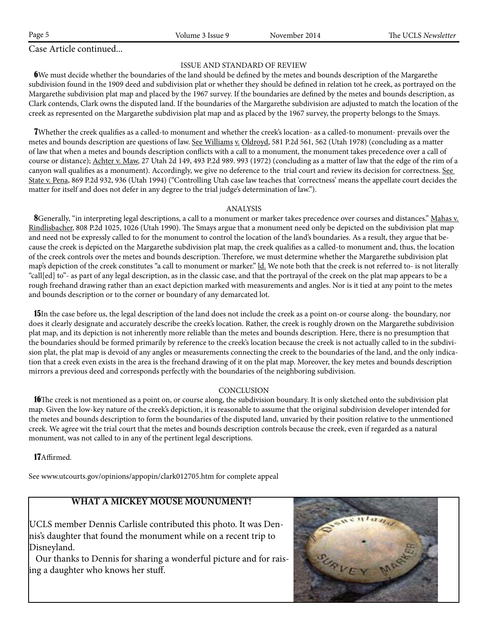Case Article continued...

## ISSUE AND STANDARD OF REVIEW

 6We must decide whether the boundaries of the land should be defined by the metes and bounds description of the Margarethe subdivision found in the 1909 deed and subdivision plat or whether they should be defined in relation tot he creek, as portrayed on the Margarethe subdivision plat map and placed by the 1967 survey. If the boundaries are defined by the metes and bounds description, as Clark contends, Clark owns the disputed land. If the boundaries of the Margarethe subdivision are adjusted to match the location of the creek as represented on the Margarethe subdivision plat map and as placed by the 1967 survey, the property belongs to the Smays.

 7Whether the creek qualifies as a called-to monument and whether the creek's location- as a called-to monument- prevails over the metes and bounds description are questions of law. See Williams v. Oldroyd, 581 P.2d 561, 562 (Utah 1978) (concluding as a matter of law that when a metes and bounds description conflicts with a call to a monument, the monument takes precedence over a call of course or distance); Achter v. Maw, 27 Utah 2d 149, 493 P.2d 989. 993 (1972) (concluding as a matter of law that the edge of the rim of a canyon wall qualifies as a monument). Accordingly, we give no deference to the trial court and review its decision for correctness. See State v. Pena, 869 P.2d 932, 936 (Utah 1994) ("Controlling Utah case law teaches that 'correctness' means the appellate court decides the matter for itself and does not defer in any degree to the trial judge's determination of law.").

#### ANALYSIS

8Generally, "in interpreting legal descriptions, a call to a monument or marker takes precedence over courses and distances." Mahas v. Rindlisbacher, 808 P.2d 1025, 1026 (Utah 1990). The Smays argue that a monument need only be depicted on the subdivision plat map and need not be expressly called to for the monument to control the location of the land's boundaries. As a result, they argue that because the creek is depicted on the Margarethe subdivision plat map, the creek qualifies as a called-to monument and, thus, the location of the creek controls over the metes and bounds description. Therefore, we must determine whether the Margarethe subdivision plat map's depiction of the creek constitutes "a call to monument or marker." ld. We note both that the creek is not referred to- is not literally "call[ed] to"- as part of any legal description, as in the classic case, and that the portrayal of the creek on the plat map appears to be a rough freehand drawing rather than an exact depiction marked with measurements and angles. Nor is it tied at any point to the metes and bounds description or to the corner or boundary of any demarcated lot.

 15In the case before us, the legal description of the land does not include the creek as a point on-or course along- the boundary, nor does it clearly designate and accurately describe the creek's location. Rather, the creek is roughly drown on the Margarethe subdivision plat map, and its depiction is not inherently more reliable than the metes and bounds description. Here, there is no presumption that the boundaries should be formed primarily by reference to the creek's location because the creek is not actually called to in the subdivision plat, the plat map is devoid of any angles or measurements connecting the creek to the boundaries of the land, and the only indication that a creek even exists in the area is the freehand drawing of it on the plat map. Moreover, the key metes and bounds description mirrors a previous deed and corresponds perfectly with the boundaries of the neighboring subdivision.

## CONCLUSION

**16**The creek is not mentioned as a point on, or course along, the subdivision boundary. It is only sketched onto the subdivision plat map. Given the low-key nature of the creek's depiction, it is reasonable to assume that the original subdivision developer intended for the metes and bounds description to form the boundaries of the disputed land, unvaried by their position relative to the unmentioned creek. We agree wit the trial court that the metes and bounds description controls because the creek, even if regarded as a natural monument, was not called to in any of the pertinent legal descriptions.

17Affirmed.

See www.utcourts.gov/opinions/appopin/clark012705.htm for complete appeal

## **WHAT A MICKEY MOUSE MOUNUMENT!**

UCLS member Dennis Carlisle contributed this photo. It was Dennis's daughter that found the monument while on a recent trip to Disneyland.

 Our thanks to Dennis for sharing a wonderful picture and for raising a daughter who knows her stuff.

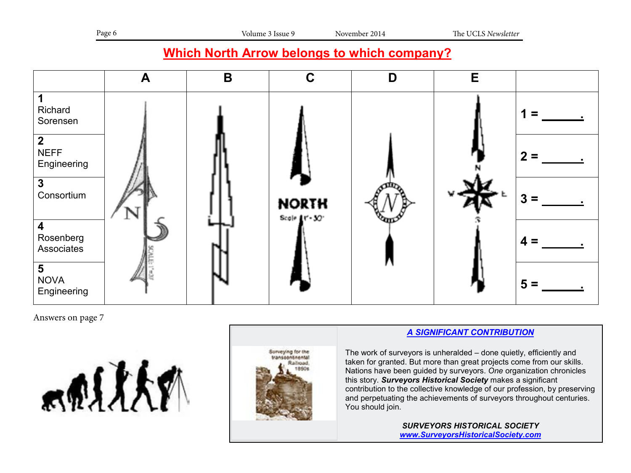## **Which North Arrow belongs to which company?**



Answers on page 7





## *A SIGNIFICANT CONTRIBUTION*

The work of surveyors is unheralded – done quietly, efficiently and taken for granted. But more than great projects come from our skills. Nations have been guided by surveyors. *One* organization chronicles this story. *Surveyors Historical Society* makes a significant contribution to the collective knowledge of our profession, by preserving and perpetuating the achievements of surveyors throughout centuries. You should join.

> *SURVEYORS HISTORICAL SOCIETY www.SurveyorsHistoricalSociety.com*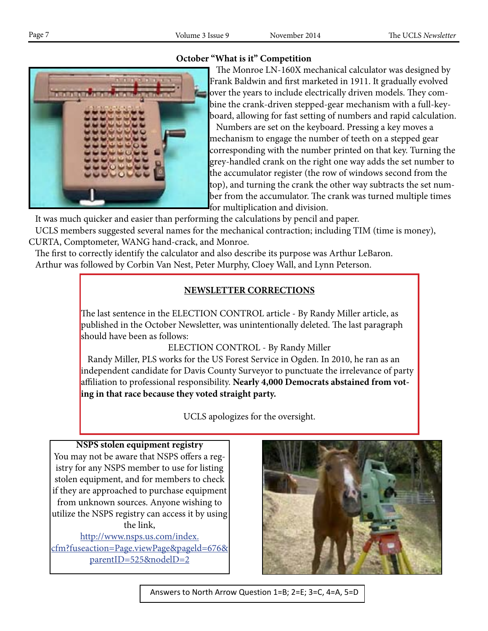## **October "What is it" Competition**



 The Monroe LN-160X mechanical calculator was designed by Frank Baldwin and first marketed in 1911. It gradually evolved over the years to include electrically driven models. They combine the crank-driven stepped-gear mechanism with a full-keyboard, allowing for fast setting of numbers and rapid calculation. Numbers are set on the keyboard. Pressing a key moves a mechanism to engage the number of teeth on a stepped gear corresponding with the number printed on that key. Turning the grey-handled crank on the right one way adds the set number to the accumulator register (the row of windows second from the top), and turning the crank the other way subtracts the set number from the accumulator. The crank was turned multiple times for multiplication and division.

It was much quicker and easier than performing the calculations by pencil and paper.

 UCLS members suggested several names for the mechanical contraction; including TIM (time is money), CURTA, Comptometer, WANG hand-crack, and Monroe.

 The first to correctly identify the calculator and also describe its purpose was Arthur LeBaron. Arthur was followed by Corbin Van Nest, Peter Murphy, Cloey Wall, and Lynn Peterson.

#### **NEWSLETTER CORRECTIONS Which North Arrow belongs to which company is a set of the set of the set of the set of the set of the set of the set of the set of the set of the set of the set of the set of the set of the set of the set of the set of t**

The last sentence in the ELECTION CONTROL article - By Randy Miller article, as  $\mathbf{R}$  and  $\mathbf{R}$  and  $\mathbf{R}$  article  $\mathbf{R}$  are  $\mathbf{R}$  and  $\mathbf{R}$  are  $\mathbf{R}$  and  $\mathbf{R}$  are  $\mathbf{R}$  and  $\mathbf{R}$  are  $\mathbf{R}$ published in the October Newsletter, was unintentionally deleted. The last paragraph should have been as follows: **1**

ELECTION CONTROL - By Randy Miller

**Randy Miller, PLS works for the US Forest Service in Ogden. In 2010, he ran as an** independent candidate for Davis County Surveyor to punctuate the irrelevance of party affiliation to professional responsibility. **Nearly 4,000 Democrats abstained from vot-2** ing in that race because they voted straight party. exause they voted straight party.

UCLS apologizes for the oversight.

**NSPS stolen equipment registry** You may not be aware that NSPS offers a registry for any NSPS member to use for listing **4** stolen equipment, and for members to check if they are approached to purchase equipment from unknown sources. Anyone wishing to utilize the NSPS registry can access it by using **5**  $\overrightarrow{h}$  the link,

http://www.nsps.us.com/index. cfm?fuseaction=Page.viewPage&pageld=676& parentID=525&nodelD=2



Answers to North Arrow Question 1=B; 2=E; 3=C, 4=A, 5=D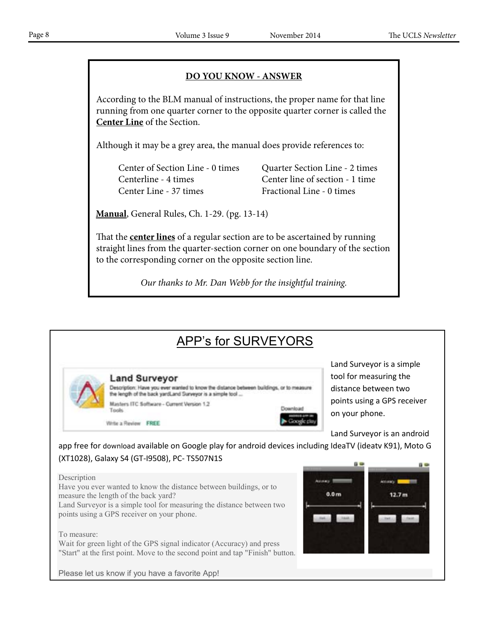## **DO YOU KNOW - ANSWER**

 According to the BLM manual of instructions, the proper name for that line running from one quarter corner to the opposite quarter corner is called the **Center Line** of the Section.

Although it may be a grey area, the manual does provide references to:

Center Line - 37 times Fractional Line - 0 times

Center of Section Line - 0 times Quarter Section Line - 2 times Centerline - 4 times Center line of section - 1 time

 **Manual**, General Rules, Ch. 1-29. (pg. 13-14)

 That the **center lines** of a regular section are to be ascertained by running straight lines from the quarter-section corner on one boundary of the section to the corresponding corner on the opposite section line.

*Our thanks to Mr. Dan Webb for the insightful training.*

# APP's for SURVEYORS

**Land Surveyor** 

Description: Have you ever wanted to know the distance between buildings, or to measur the length of the back yardLand Surveyor is a simple tool ...

Masters ITC Software - Current Version 1.2 Tools

Write a Review FREE

Land Surveyor is a simple tool for measuring the distance between two points using a GPS receiver on your phone.

Land Surveyor is an android

app free for download available on Google play for android devices including IdeaTV (ideatv K91), Moto G (XT1028), Galaxy S4 (GT-I9508), PC- TS507N1S

Download

#### Description

Have you ever wanted to know the distance between buildings, or to measure the length of the back yard?

Land Surveyor is a simple tool for measuring the distance between two points using a GPS receiver on your phone.

#### To measure:

Wait for green light of the GPS signal indicator (Accuracy) and press "Start" at the first point. Move to the second point and tap "Finish" button.



Please let us know if you have a favorite App!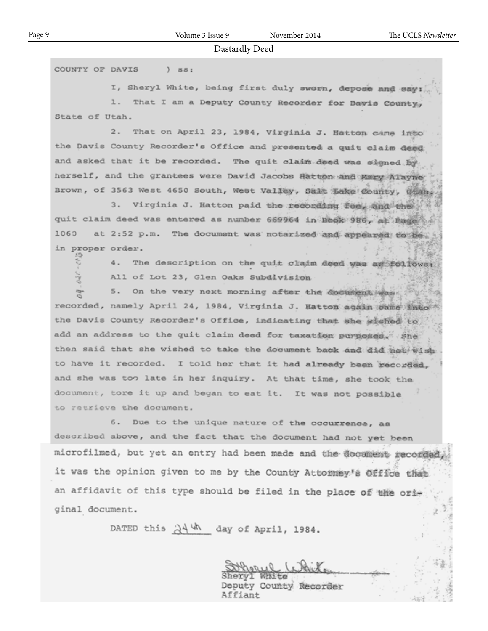COUNTY OF DAVIS  $)$   $881$ 

I, Sheryl White, being first duly sworn, depose and eay:

1. That I am a Deputy County Recorder for Davis County, State of Utah.

2. That on April 23, 1984, Virginia J. Hatton came into the Davis County Recorder's Office and presented a quit claim deed and asked that it be recorded. The quit claim deed was signed by herself, and the grantees were David Jacobs Hatton and Mary Alayne Brown, of 3563 West 4650 South, West Valley, Salt Lake County, Utah

3. Virginia J. Hatton paid the reconding tees and the quit claim deed was entered as number 669964 in Book 986, at Page 1060 at 2:52 p.m. The document was notarized and appeared to be in proper order.

> 4. The description on the quit claim deed was as follows: All of Lot 23, Glen Oaks Subdivision

On the very next morning after the decument was  $5.$ recorded, namely April 24, 1984, Virginia J. Matton again same into the Davis County Recorder's Office, indicating that she wished to add an address to the quit claim deed for taxation purposes. She then said that she wished to take the document back and did not wish to have it recorded. I told her that it had already been recorded, and she was too late in her inquiry. At that time, she took the document, tore it up and began to eat it. It was not possible to retrieve the document.

6. Due to the unique nature of the occurrence, as described above, and the fact that the document had not yet been microfilmed, but yet an entry had been made and the document recorded it was the opinion given to me by the County Attorney's Office that an affidavit of this type should be filed in the place of the original document.

DATED this  $\frac{\partial \mathcal{A}}{\partial h}$  day of April, 1984.

Deputy County Recorder Affiant